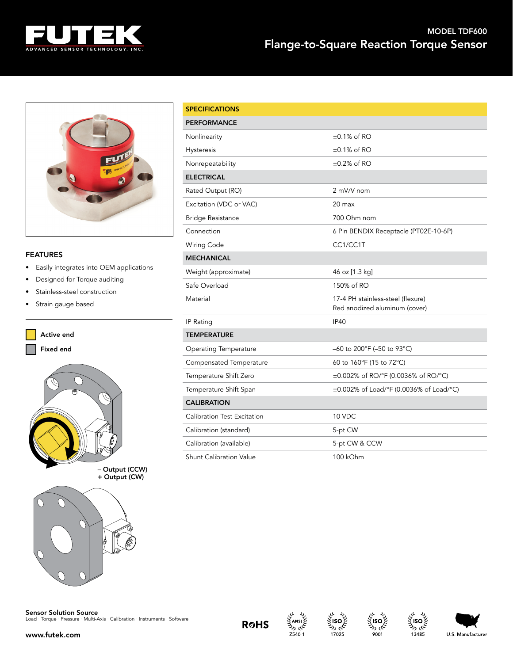

## MODEL TDF600 Flange-to-Square Reaction Torque Sensor



## FEATURES

- Easily integrates into OEM applications
- Designed for Torque auditing
- Stainless-steel construction
- Strain gauge based



| <b>SPECIFICATIONS</b>              |                                                                    |
|------------------------------------|--------------------------------------------------------------------|
| PERFORMANCE                        |                                                                    |
| Nonlinearity                       | $\pm 0.1\%$ of RO                                                  |
| <b>Hysteresis</b>                  | $\pm 0.1\%$ of RO                                                  |
| Nonrepeatability                   | $\pm 0.2\%$ of RO                                                  |
| <b>ELECTRICAL</b>                  |                                                                    |
| Rated Output (RO)                  | 2 mV/V nom                                                         |
| Excitation (VDC or VAC)            | $20 \text{ max}$                                                   |
| <b>Bridge Resistance</b>           | 700 Ohm nom                                                        |
| Connection                         | 6 Pin BENDIX Receptacle (PT02E-10-6P)                              |
| <b>Wiring Code</b>                 | CC1/CC1T                                                           |
| <b>MECHANICAL</b>                  |                                                                    |
| Weight (approximate)               | 46 oz [1.3 kg]                                                     |
| Safe Overload                      | 150% of RO                                                         |
| Material                           | 17-4 PH stainless-steel (flexure)<br>Red anodized aluminum (cover) |
| <b>IP Rating</b>                   | <b>IP40</b>                                                        |
| <b>TEMPERATURE</b>                 |                                                                    |
| <b>Operating Temperature</b>       | –60 to 200°F (–50 to 93°C)                                         |
| Compensated Temperature            | 60 to 160°F (15 to 72°C)                                           |
| Temperature Shift Zero             | ±0.002% of RO/°F (0.0036% of RO/°C)                                |
| Temperature Shift Span             | ±0.002% of Load/°F (0.0036% of Load/°C)                            |
| <b>CALIBRATION</b>                 |                                                                    |
| <b>Calibration Test Excitation</b> | 10 VDC                                                             |
| Calibration (standard)             | 5-pt CW                                                            |
| Calibration (available)            | 5-pt CW & CCW                                                      |
| <b>Shunt Calibration Value</b>     | 100 kOhm                                                           |

**Sensor Solution Source**<br>Load · Torque · Pressure · Multi-Axis · Calibration · Instruments · Software











ام ردا

13485